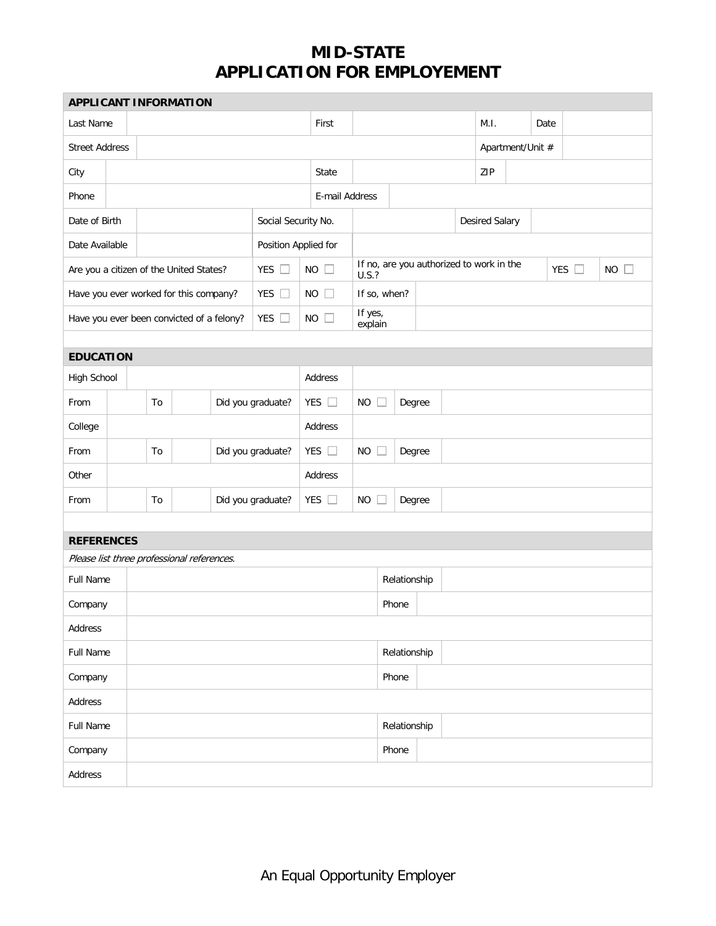## **MID-STATE APPLICATION FOR EMPLOYEMENT**

| <b>APPLICANT INFORMATION</b>               |  |                                         |       |  |                     |                      |             |                                                   |                     |        |  |                       |  |      |               |             |  |
|--------------------------------------------|--|-----------------------------------------|-------|--|---------------------|----------------------|-------------|---------------------------------------------------|---------------------|--------|--|-----------------------|--|------|---------------|-------------|--|
| Last Name                                  |  |                                         |       |  |                     |                      |             | First                                             |                     |        |  | M.I.                  |  | Date |               |             |  |
| <b>Street Address</b>                      |  |                                         |       |  |                     |                      |             |                                                   | Apartment/Unit #    |        |  |                       |  |      |               |             |  |
| City                                       |  |                                         | State |  |                     |                      |             |                                                   | ZIP                 |        |  |                       |  |      |               |             |  |
| Phone                                      |  |                                         |       |  | E-mail Address      |                      |             |                                                   |                     |        |  |                       |  |      |               |             |  |
| Date of Birth                              |  |                                         |       |  | Social Security No. |                      |             |                                                   |                     |        |  | <b>Desired Salary</b> |  |      |               |             |  |
| Date Available                             |  |                                         |       |  |                     | Position Applied for |             |                                                   |                     |        |  |                       |  |      |               |             |  |
|                                            |  | Are you a citizen of the United States? |       |  | YES $\square$       |                      | $NO$ $\Box$ | If no, are you authorized to work in the<br>U.S.? |                     |        |  |                       |  |      | YES $\square$ | $NO$ $\Box$ |  |
|                                            |  | Have you ever worked for this company?  |       |  | YES $\square$       |                      | $NO$ $\Box$ | If so, when?                                      |                     |        |  |                       |  |      |               |             |  |
| Have you ever been convicted of a felony?  |  |                                         |       |  | YES $\square$       |                      | $NO$ $\Box$ | If yes,<br>explain                                |                     |        |  |                       |  |      |               |             |  |
|                                            |  |                                         |       |  |                     |                      |             |                                                   |                     |        |  |                       |  |      |               |             |  |
| <b>EDUCATION</b>                           |  |                                         |       |  |                     |                      |             |                                                   |                     |        |  |                       |  |      |               |             |  |
| High School                                |  |                                         |       |  |                     |                      |             | Address                                           |                     |        |  |                       |  |      |               |             |  |
| From                                       |  |                                         | To    |  |                     | Did you graduate?    |             | YES $\square$                                     | <b>NO</b><br>Degree |        |  |                       |  |      |               |             |  |
| College                                    |  |                                         |       |  |                     |                      | Address     |                                                   |                     |        |  |                       |  |      |               |             |  |
| From                                       |  |                                         | To    |  |                     | Did you graduate?    |             | YES $\square$                                     | <b>NO</b>           | Degree |  |                       |  |      |               |             |  |
| Other                                      |  |                                         |       |  | Address             |                      |             |                                                   |                     |        |  |                       |  |      |               |             |  |
| From                                       |  | Did you graduate?<br>To                 |       |  |                     | YES $\square$        | <b>NO</b>   | Degree                                            |                     |        |  |                       |  |      |               |             |  |
|                                            |  |                                         |       |  |                     |                      |             |                                                   |                     |        |  |                       |  |      |               |             |  |
| <b>REFERENCES</b>                          |  |                                         |       |  |                     |                      |             |                                                   |                     |        |  |                       |  |      |               |             |  |
| Please list three professional references. |  |                                         |       |  |                     |                      |             |                                                   |                     |        |  |                       |  |      |               |             |  |
| Full Name                                  |  |                                         |       |  |                     | Relationship         |             |                                                   |                     |        |  |                       |  |      |               |             |  |
| Company                                    |  |                                         |       |  |                     |                      |             | Phone                                             |                     |        |  |                       |  |      |               |             |  |
| Address                                    |  |                                         |       |  |                     |                      |             |                                                   |                     |        |  |                       |  |      |               |             |  |
| Full Name                                  |  |                                         |       |  | Relationship        |                      |             |                                                   |                     |        |  |                       |  |      |               |             |  |
| Company                                    |  |                                         |       |  |                     | Phone                |             |                                                   |                     |        |  |                       |  |      |               |             |  |
| Address                                    |  |                                         |       |  |                     |                      |             |                                                   |                     |        |  |                       |  |      |               |             |  |
| Full Name                                  |  |                                         |       |  | Relationship        |                      |             |                                                   |                     |        |  |                       |  |      |               |             |  |
| Company                                    |  |                                         |       |  |                     |                      |             |                                                   | Phone               |        |  |                       |  |      |               |             |  |
| Address                                    |  |                                         |       |  |                     |                      |             |                                                   |                     |        |  |                       |  |      |               |             |  |